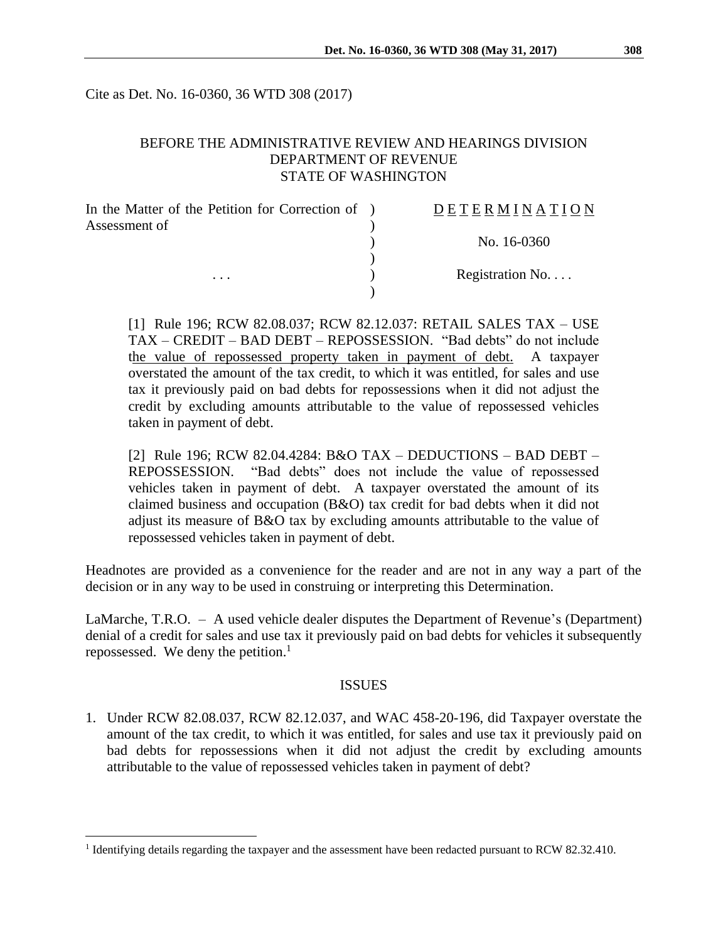Cite as Det. No. 16-0360, 36 WTD 308 (2017)

## BEFORE THE ADMINISTRATIVE REVIEW AND HEARINGS DIVISION DEPARTMENT OF REVENUE STATE OF WASHINGTON

| In the Matter of the Petition for Correction of ) | DETERMINATION   |
|---------------------------------------------------|-----------------|
| Assessment of                                     |                 |
|                                                   | No. 16-0360     |
|                                                   |                 |
| $\cdots$                                          | Registration No |
|                                                   |                 |

[1] Rule 196; RCW 82.08.037; RCW 82.12.037: RETAIL SALES TAX – USE TAX – CREDIT – BAD DEBT – REPOSSESSION. "Bad debts" do not include the value of repossessed property taken in payment of debt. A taxpayer overstated the amount of the tax credit, to which it was entitled, for sales and use tax it previously paid on bad debts for repossessions when it did not adjust the credit by excluding amounts attributable to the value of repossessed vehicles taken in payment of debt.

[2] Rule 196; RCW 82.04.4284: B&O TAX – DEDUCTIONS – BAD DEBT – REPOSSESSION. "Bad debts" does not include the value of repossessed vehicles taken in payment of debt. A taxpayer overstated the amount of its claimed business and occupation (B&O) tax credit for bad debts when it did not adjust its measure of B&O tax by excluding amounts attributable to the value of repossessed vehicles taken in payment of debt.

Headnotes are provided as a convenience for the reader and are not in any way a part of the decision or in any way to be used in construing or interpreting this Determination.

LaMarche, T.R.O. – A used vehicle dealer disputes the Department of Revenue's (Department) denial of a credit for sales and use tax it previously paid on bad debts for vehicles it subsequently repossessed. We deny the petition.<sup>1</sup>

#### ISSUES

1. Under RCW 82.08.037, RCW 82.12.037, and WAC 458-20-196, did Taxpayer overstate the amount of the tax credit, to which it was entitled, for sales and use tax it previously paid on bad debts for repossessions when it did not adjust the credit by excluding amounts attributable to the value of repossessed vehicles taken in payment of debt?

 $\overline{a}$ 

<sup>&</sup>lt;sup>1</sup> Identifying details regarding the taxpayer and the assessment have been redacted pursuant to RCW 82.32.410.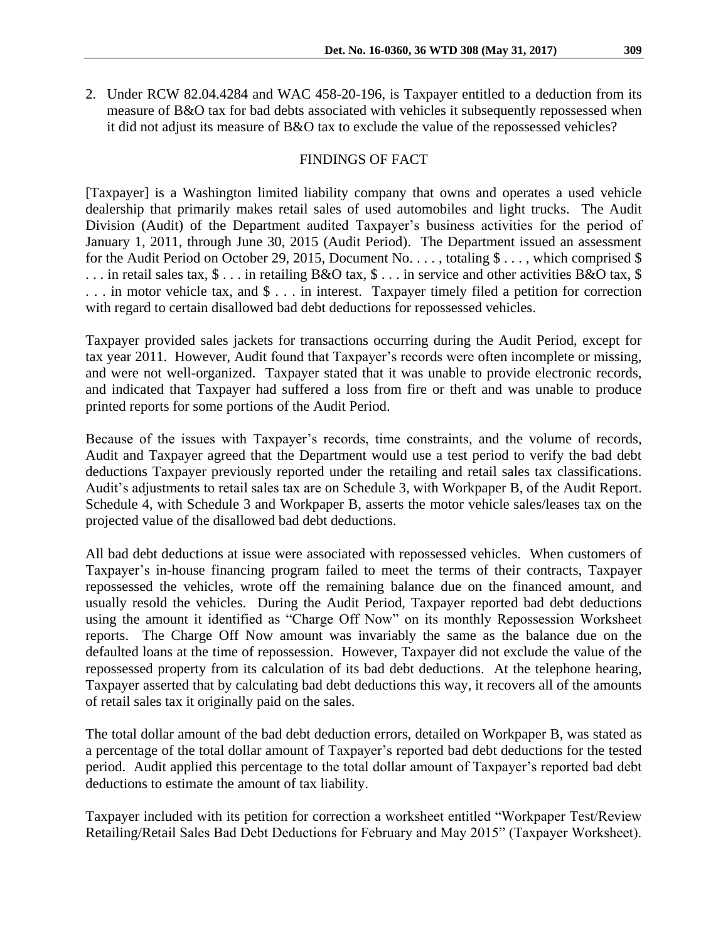2. Under RCW 82.04.4284 and WAC 458-20-196, is Taxpayer entitled to a deduction from its measure of B&O tax for bad debts associated with vehicles it subsequently repossessed when it did not adjust its measure of B&O tax to exclude the value of the repossessed vehicles?

#### FINDINGS OF FACT

[Taxpayer] is a Washington limited liability company that owns and operates a used vehicle dealership that primarily makes retail sales of used automobiles and light trucks. The Audit Division (Audit) of the Department audited Taxpayer's business activities for the period of January 1, 2011, through June 30, 2015 (Audit Period). The Department issued an assessment for the Audit Period on October 29, 2015, Document No. . . . , totaling  $\$\ldots$$ , which comprised  $\$$ . . . in retail sales tax, \$ . . . in retailing B&O tax, \$ . . . in service and other activities B&O tax, \$ . . . in motor vehicle tax, and \$ . . . in interest. Taxpayer timely filed a petition for correction with regard to certain disallowed bad debt deductions for repossessed vehicles.

Taxpayer provided sales jackets for transactions occurring during the Audit Period, except for tax year 2011. However, Audit found that Taxpayer's records were often incomplete or missing, and were not well-organized. Taxpayer stated that it was unable to provide electronic records, and indicated that Taxpayer had suffered a loss from fire or theft and was unable to produce printed reports for some portions of the Audit Period.

Because of the issues with Taxpayer's records, time constraints, and the volume of records, Audit and Taxpayer agreed that the Department would use a test period to verify the bad debt deductions Taxpayer previously reported under the retailing and retail sales tax classifications. Audit's adjustments to retail sales tax are on Schedule 3, with Workpaper B, of the Audit Report. Schedule 4, with Schedule 3 and Workpaper B, asserts the motor vehicle sales/leases tax on the projected value of the disallowed bad debt deductions.

All bad debt deductions at issue were associated with repossessed vehicles. When customers of Taxpayer's in-house financing program failed to meet the terms of their contracts, Taxpayer repossessed the vehicles, wrote off the remaining balance due on the financed amount, and usually resold the vehicles. During the Audit Period, Taxpayer reported bad debt deductions using the amount it identified as "Charge Off Now" on its monthly Repossession Worksheet reports. The Charge Off Now amount was invariably the same as the balance due on the defaulted loans at the time of repossession. However, Taxpayer did not exclude the value of the repossessed property from its calculation of its bad debt deductions. At the telephone hearing, Taxpayer asserted that by calculating bad debt deductions this way, it recovers all of the amounts of retail sales tax it originally paid on the sales.

The total dollar amount of the bad debt deduction errors, detailed on Workpaper B, was stated as a percentage of the total dollar amount of Taxpayer's reported bad debt deductions for the tested period. Audit applied this percentage to the total dollar amount of Taxpayer's reported bad debt deductions to estimate the amount of tax liability.

Taxpayer included with its petition for correction a worksheet entitled "Workpaper Test/Review Retailing/Retail Sales Bad Debt Deductions for February and May 2015" (Taxpayer Worksheet).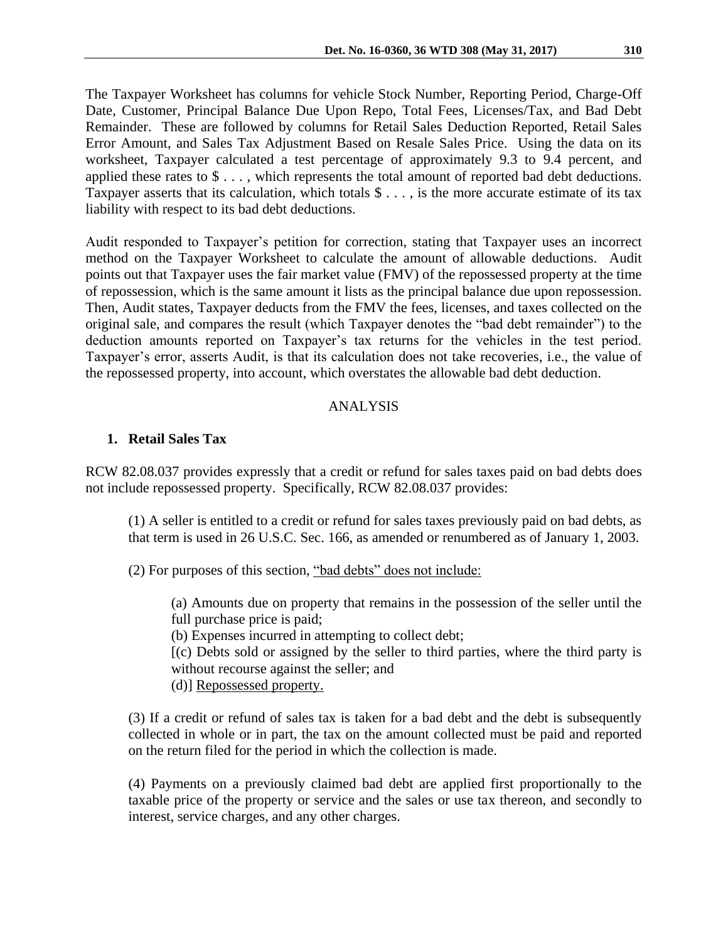The Taxpayer Worksheet has columns for vehicle Stock Number, Reporting Period, Charge-Off Date, Customer, Principal Balance Due Upon Repo, Total Fees, Licenses/Tax, and Bad Debt Remainder. These are followed by columns for Retail Sales Deduction Reported, Retail Sales Error Amount, and Sales Tax Adjustment Based on Resale Sales Price. Using the data on its worksheet, Taxpayer calculated a test percentage of approximately 9.3 to 9.4 percent, and applied these rates to \$ . . . , which represents the total amount of reported bad debt deductions. Taxpayer asserts that its calculation, which totals \$ . . . , is the more accurate estimate of its tax liability with respect to its bad debt deductions.

Audit responded to Taxpayer's petition for correction, stating that Taxpayer uses an incorrect method on the Taxpayer Worksheet to calculate the amount of allowable deductions. Audit points out that Taxpayer uses the fair market value (FMV) of the repossessed property at the time of repossession, which is the same amount it lists as the principal balance due upon repossession. Then, Audit states, Taxpayer deducts from the FMV the fees, licenses, and taxes collected on the original sale, and compares the result (which Taxpayer denotes the "bad debt remainder") to the deduction amounts reported on Taxpayer's tax returns for the vehicles in the test period. Taxpayer's error, asserts Audit, is that its calculation does not take recoveries, i.e., the value of the repossessed property, into account, which overstates the allowable bad debt deduction.

## ANALYSIS

# **1. Retail Sales Tax**

RCW 82.08.037 provides expressly that a credit or refund for sales taxes paid on bad debts does not include repossessed property. Specifically, RCW 82.08.037 provides:

(1) A seller is entitled to a credit or refund for sales taxes previously paid on bad debts, as that term is used in 26 U.S.C. Sec. 166, as amended or renumbered as of January 1, 2003.

(2) For purposes of this section, "bad debts" does not include:

(a) Amounts due on property that remains in the possession of the seller until the full purchase price is paid;

(b) Expenses incurred in attempting to collect debt;

[(c) Debts sold or assigned by the seller to third parties, where the third party is without recourse against the seller; and

(d)] Repossessed property.

(3) If a credit or refund of sales tax is taken for a bad debt and the debt is subsequently collected in whole or in part, the tax on the amount collected must be paid and reported on the return filed for the period in which the collection is made.

(4) Payments on a previously claimed bad debt are applied first proportionally to the taxable price of the property or service and the sales or use tax thereon, and secondly to interest, service charges, and any other charges.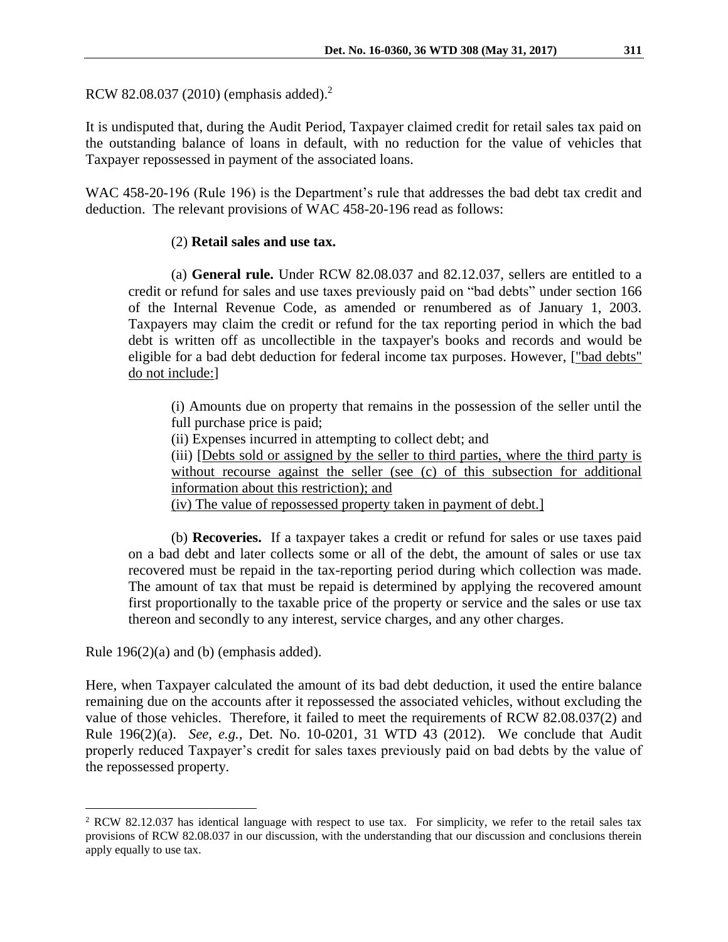RCW 82.08.037 (2010) (emphasis added).<sup>2</sup>

It is undisputed that, during the Audit Period, Taxpayer claimed credit for retail sales tax paid on the outstanding balance of loans in default, with no reduction for the value of vehicles that Taxpayer repossessed in payment of the associated loans.

WAC 458-20-196 (Rule 196) is the Department's rule that addresses the bad debt tax credit and deduction. The relevant provisions of WAC 458-20-196 read as follows:

### (2) **Retail sales and use tax.**

 (a) **General rule.** Under RCW 82.08.037 and 82.12.037, sellers are entitled to a credit or refund for sales and use taxes previously paid on "bad debts" under section 166 of the Internal Revenue Code, as amended or renumbered as of January 1, 2003. Taxpayers may claim the credit or refund for the tax reporting period in which the bad debt is written off as uncollectible in the taxpayer's books and records and would be eligible for a bad debt deduction for federal income tax purposes. However, ["bad debts" do not include:]

(i) Amounts due on property that remains in the possession of the seller until the full purchase price is paid;

(ii) Expenses incurred in attempting to collect debt; and

(iii) [Debts sold or assigned by the seller to third parties, where the third party is without recourse against the seller (see (c) of this subsection for additional information about this restriction); and

(iv) The value of repossessed property taken in payment of debt.]

 (b) **Recoveries.** If a taxpayer takes a credit or refund for sales or use taxes paid on a bad debt and later collects some or all of the debt, the amount of sales or use tax recovered must be repaid in the tax-reporting period during which collection was made. The amount of tax that must be repaid is determined by applying the recovered amount first proportionally to the taxable price of the property or service and the sales or use tax thereon and secondly to any interest, service charges, and any other charges.

Rule 196(2)(a) and (b) (emphasis added).

 $\overline{a}$ 

Here, when Taxpayer calculated the amount of its bad debt deduction, it used the entire balance remaining due on the accounts after it repossessed the associated vehicles, without excluding the value of those vehicles. Therefore, it failed to meet the requirements of RCW 82.08.037(2) and Rule 196(2)(a). *See, e.g.,* Det. No. 10-0201, 31 WTD 43 (2012). We conclude that Audit properly reduced Taxpayer's credit for sales taxes previously paid on bad debts by the value of the repossessed property.

 $2$  RCW 82.12.037 has identical language with respect to use tax. For simplicity, we refer to the retail sales tax provisions of RCW 82.08.037 in our discussion, with the understanding that our discussion and conclusions therein apply equally to use tax.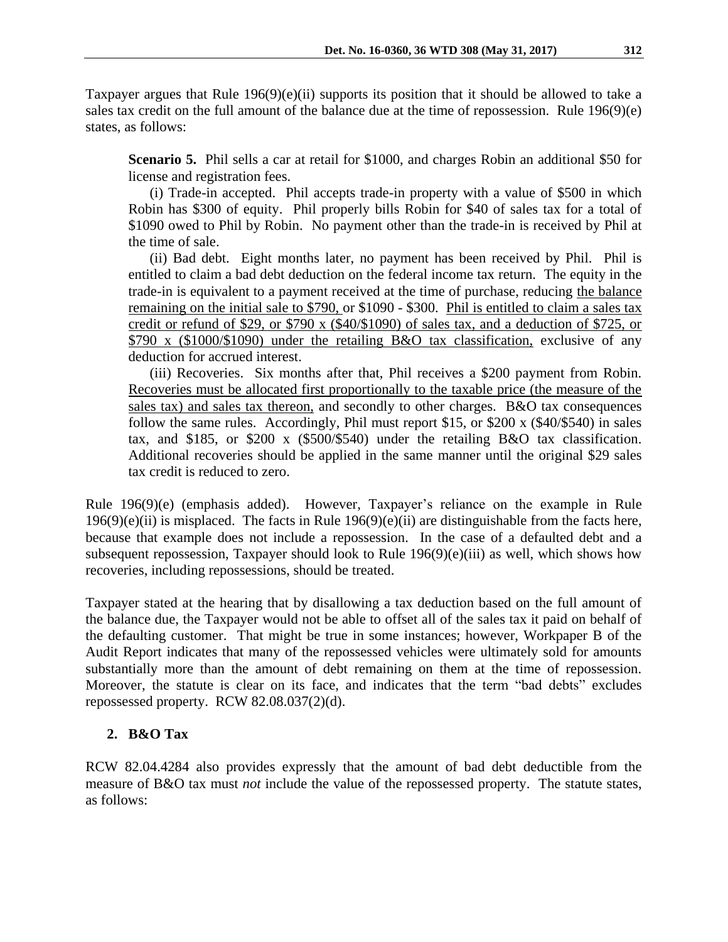Taxpayer argues that Rule 196(9)(e)(ii) supports its position that it should be allowed to take a sales tax credit on the full amount of the balance due at the time of repossession. Rule 196(9)(e) states, as follows:

**Scenario 5.** Phil sells a car at retail for \$1000, and charges Robin an additional \$50 for license and registration fees.

(i) Trade-in accepted. Phil accepts trade-in property with a value of \$500 in which Robin has \$300 of equity. Phil properly bills Robin for \$40 of sales tax for a total of \$1090 owed to Phil by Robin. No payment other than the trade-in is received by Phil at the time of sale.

(ii) Bad debt. Eight months later, no payment has been received by Phil. Phil is entitled to claim a bad debt deduction on the federal income tax return. The equity in the trade-in is equivalent to a payment received at the time of purchase, reducing the balance remaining on the initial sale to \$790, or \$1090 - \$300. Phil is entitled to claim a sales tax credit or refund of \$29, or \$790 x (\$40/\$1090) of sales tax, and a deduction of \$725, or \$790 x (\$1000/\$1090) under the retailing B&O tax classification, exclusive of any deduction for accrued interest.

(iii) Recoveries. Six months after that, Phil receives a \$200 payment from Robin. Recoveries must be allocated first proportionally to the taxable price (the measure of the sales tax) and sales tax thereon, and secondly to other charges. B&O tax consequences follow the same rules. Accordingly, Phil must report \$15, or \$200 x (\$40/\$540) in sales tax, and \$185, or \$200 x (\$500/\$540) under the retailing B&O tax classification. Additional recoveries should be applied in the same manner until the original \$29 sales tax credit is reduced to zero.

Rule 196(9)(e) (emphasis added). However, Taxpayer's reliance on the example in Rule  $196(9)(e)$ (ii) is misplaced. The facts in Rule  $196(9)(e)$ (ii) are distinguishable from the facts here, because that example does not include a repossession. In the case of a defaulted debt and a subsequent repossession, Taxpayer should look to Rule 196(9)(e)(iii) as well, which shows how recoveries, including repossessions, should be treated.

Taxpayer stated at the hearing that by disallowing a tax deduction based on the full amount of the balance due, the Taxpayer would not be able to offset all of the sales tax it paid on behalf of the defaulting customer. That might be true in some instances; however, Workpaper B of the Audit Report indicates that many of the repossessed vehicles were ultimately sold for amounts substantially more than the amount of debt remaining on them at the time of repossession. Moreover, the statute is clear on its face, and indicates that the term "bad debts" excludes repossessed property. RCW 82.08.037(2)(d).

# **2. B&O Tax**

RCW 82.04.4284 also provides expressly that the amount of bad debt deductible from the measure of B&O tax must *not* include the value of the repossessed property. The statute states, as follows: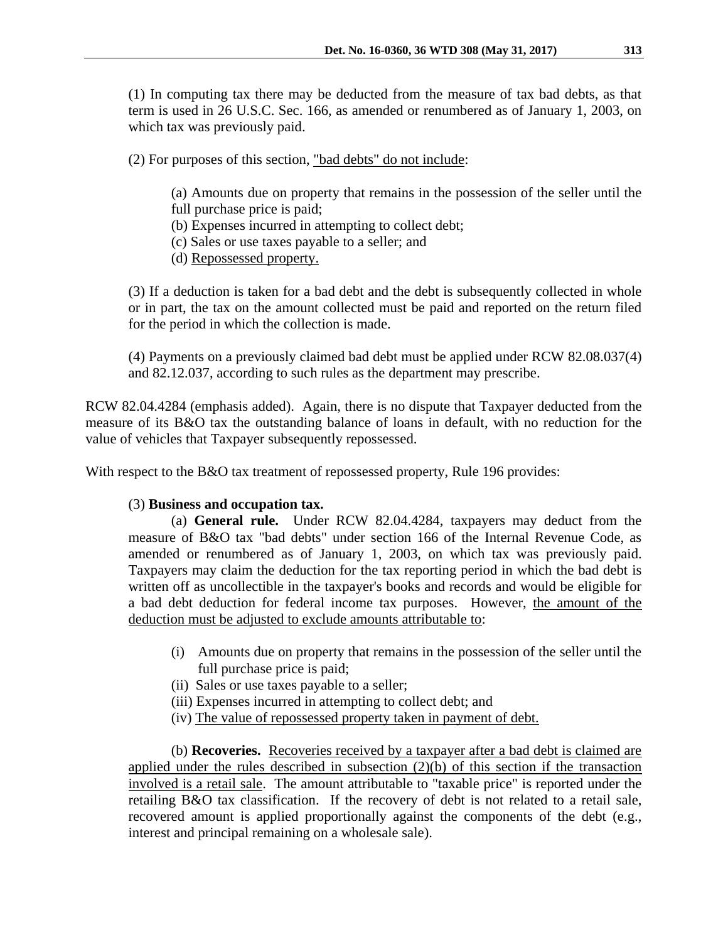(1) In computing tax there may be deducted from the measure of tax bad debts, as that term is used in 26 U.S.C. Sec. 166, as amended or renumbered as of January 1, 2003, on which tax was previously paid.

(2) For purposes of this section, "bad debts" do not include:

(a) Amounts due on property that remains in the possession of the seller until the full purchase price is paid;

(b) Expenses incurred in attempting to collect debt;

(c) Sales or use taxes payable to a seller; and

(d) Repossessed property.

(3) If a deduction is taken for a bad debt and the debt is subsequently collected in whole or in part, the tax on the amount collected must be paid and reported on the return filed for the period in which the collection is made.

(4) Payments on a previously claimed bad debt must be applied under RCW 82.08.037(4) and 82.12.037, according to such rules as the department may prescribe.

RCW 82.04.4284 (emphasis added). Again, there is no dispute that Taxpayer deducted from the measure of its B&O tax the outstanding balance of loans in default, with no reduction for the value of vehicles that Taxpayer subsequently repossessed.

With respect to the B&O tax treatment of repossessed property, Rule 196 provides:

#### (3) **Business and occupation tax.**

 (a) **General rule.** Under RCW 82.04.4284, taxpayers may deduct from the measure of B&O tax "bad debts" under section 166 of the Internal Revenue Code, as amended or renumbered as of January 1, 2003, on which tax was previously paid. Taxpayers may claim the deduction for the tax reporting period in which the bad debt is written off as uncollectible in the taxpayer's books and records and would be eligible for a bad debt deduction for federal income tax purposes. However, the amount of the deduction must be adjusted to exclude amounts attributable to:

- (i) Amounts due on property that remains in the possession of the seller until the full purchase price is paid;
- (ii) Sales or use taxes payable to a seller;
- (iii) Expenses incurred in attempting to collect debt; and
- (iv) The value of repossessed property taken in payment of debt.

 (b) **Recoveries.** Recoveries received by a taxpayer after a bad debt is claimed are applied under the rules described in subsection (2)(b) of this section if the transaction involved is a retail sale. The amount attributable to "taxable price" is reported under the retailing B&O tax classification. If the recovery of debt is not related to a retail sale, recovered amount is applied proportionally against the components of the debt (e.g., interest and principal remaining on a wholesale sale).